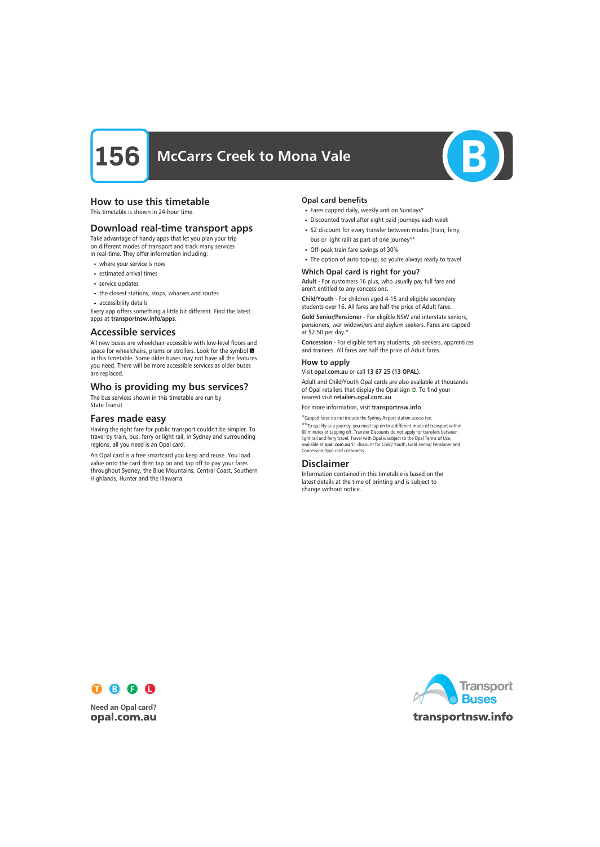

# How to use this timetable

This timetable is shown in 24-hour time.

# Download real-time transport apps

Take advantage of handy apps that let you plan your trip on different modes of transport and track many services in real-time. They offer information including:

- where your service is now
- estimated arrival times
- service updates
- the closest stations, stops, wharves and routes
- accessibility details

Every app offers something a little bit different. Find the latest apps at transportnsw.info/apps.

## Accessible services

All new buses are wheelchair-accessible with low-level floors and space for wheelchairs, prams or strollers. Look for the symbol in this timetable. Some older buses may not have all the features you need. There will be more accessible services as older buses are replaced.

# Who is providing my bus services?

The bus services shown in this timetable are run by State Transit

# Fares made easy

Having the right fare for public transport couldn't be simpler. To travel by train, bus, ferry or light rail, in Sydney and surrounding regions, all you need is an Opal card.

An Opal card is a free smartcard you keep and reuse. You load value onto the card then tap on and tap off to pay your fares throughout Sydney, the Blue Mountains, Central Coast, Southern Highlands, Hunter and the Illawarra.

#### Opal card benefits

- Fares capped daily, weekly and on Sundays\*
- Discounted travel after eight paid journeys each week
- \$2 discount for every transfer between modes (train, ferry, bus or light rail) as part of one journey\*\*
- Off-peak train fare savings of 30%
- The option of auto top-up, so you're always ready to travel

### Which Opal card is right for you?

Adult - For customers 16 plus, who usually pay full fare and aren't entitled to any concessions.

Child/Youth - For children aged 4-15 and eligible secondary students over 16. All fares are half the price of Adult fares.

Gold Senior/Pensioner - For eligible NSW and interstate seniors, pensioners, war widows/ers and asylum seekers. Fares are capped at \$2.50 per day.\*

Concession - For eligible tertiary students, job seekers, apprentices and trainees. All fares are half the price of Adult fares.

#### How to apply

Visit opal.com.au or call 13 67 25 (13 OPAL).

Adult and Child/Youth Opal cards are also available at thousands of Opal retailers that display the Opal sign O. To find your nearest visit retailers.opal.com.au.

For more information, visit transportnsw.info

\*Capped fares do not include the Sydney Airport station access fee.

\*\*To qualify as a journey, you must tap on to a different mode of transport within 60 minutes of tapping off. Transfer Discounts do not apply for transfers between light rail and ferry travel. Travel with Opal is subject to the Opal Terms of Use, available at opal.com.au \$1 discount for Child/ Youth, Gold Senior/ Pensioner and Concession Opal card customers.

# Disclaimer

Information contained in this timetable is based on the latest details at the time of printing and is subject to change without notice.



**Need an Opal card?** opal.com.au

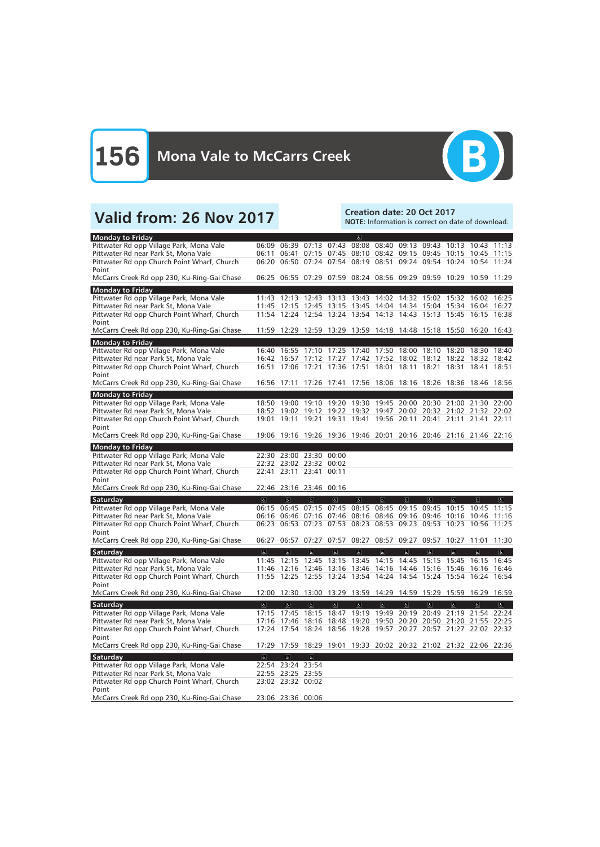

# Valid from: 26 Nov 2017<br>Note: Information is correct on da

NOTE: Information is correct on date of download.

| <b>Monday to Friday</b>                                                             |                |                                                                                                                                        |                         |                      | $\vert \mathbf{F} \vert$ |                         |                               |                         |                               |                |                |
|-------------------------------------------------------------------------------------|----------------|----------------------------------------------------------------------------------------------------------------------------------------|-------------------------|----------------------|--------------------------|-------------------------|-------------------------------|-------------------------|-------------------------------|----------------|----------------|
| Pittwater Rd opp Village Park, Mona Vale                                            |                | 06:09 06:39 07:13 07:43                                                                                                                |                         |                      |                          |                         | 08:08 08:40 09:13 09:43 10:13 |                         |                               | 10:43          | 11:13          |
| Pittwater Rd near Park St, Mona Vale                                                |                | 06:11 06:41 07:15 07:45 08:10 08:42 09:15 09:45 10:15 10:45 11:15                                                                      |                         |                      |                          |                         |                               |                         |                               |                |                |
| Pittwater Rd opp Church Point Wharf, Church                                         |                | 06:20 06:50 07:24 07:54 08:19                                                                                                          |                         |                      |                          | 08:51                   |                               |                         | 09:24 09:54 10:24 10:54 11:24 |                |                |
| Point                                                                               |                |                                                                                                                                        |                         |                      |                          |                         |                               |                         |                               |                |                |
| McCarrs Creek Rd opp 230, Ku-Ring-Gai Chase                                         |                | 06:25 06:55 07:29 07:59 08:24 08:56 09:29 09:59 10:29 10:59 11:29                                                                      |                         |                      |                          |                         |                               |                         |                               |                |                |
| <b>Monday to Friday</b>                                                             |                |                                                                                                                                        |                         |                      |                          |                         |                               |                         |                               |                |                |
| Pittwater Rd opp Village Park, Mona Vale                                            |                | 11:43 12:13 12:43 13:13 13:43 14:02 14:32 15:02 15:32 16:02 16:25                                                                      |                         |                      |                          |                         |                               |                         |                               |                |                |
| Pittwater Rd near Park St, Mona Vale<br>Pittwater Rd opp Church Point Wharf, Church |                | 11:45 12:15 12:45 13:15 13:45 14:04 14:34 15:04 15:34 16:04 16:27<br>11:54 12:24 12:54 13:24 13:54 14:13 14:43 15:13 15:45 16:15 16:38 |                         |                      |                          |                         |                               |                         |                               |                |                |
| Point                                                                               |                |                                                                                                                                        |                         |                      |                          |                         |                               |                         |                               |                |                |
| McCarrs Creek Rd opp 230, Ku-Ring-Gai Chase                                         |                | 11:59 12:29 12:59 13:29 13:59 14:18 14:48 15:18 15:50 16:20 16:43                                                                      |                         |                      |                          |                         |                               |                         |                               |                |                |
| <b>Monday to Friday</b>                                                             |                |                                                                                                                                        |                         |                      |                          |                         |                               |                         |                               |                |                |
| Pittwater Rd opp Village Park, Mona Vale                                            | 16:40          | 16:55 17:10                                                                                                                            |                         | 17:25                | 17:40 17:50 18:00        |                         |                               | 18:10                   | 18:20                         | 18:30          | 18:40          |
| Pittwater Rd near Park St, Mona Vale                                                |                | 16:42 16:57                                                                                                                            | 17:12                   | 17:27                |                          | 17:42 17:52 18:02       |                               | 18:12                   | 18:22                         | 18:32 18:42    |                |
| Pittwater Rd opp Church Point Wharf, Church                                         | 16:51          | 17:06 17:21 17:36 17:51 18:01 18:11 18:21 18:31                                                                                        |                         |                      |                          |                         |                               |                         |                               | 18:41 18:51    |                |
| Point                                                                               |                |                                                                                                                                        |                         |                      |                          |                         |                               |                         |                               |                |                |
| McCarrs Creek Rd opp 230, Ku-Ring-Gai Chase                                         |                | 16:56 17:11 17:26 17:41 17:56 18:06 18:16 18:26 18:36 18:46 18:56                                                                      |                         |                      |                          |                         |                               |                         |                               |                |                |
| <b>Monday to Friday</b>                                                             |                |                                                                                                                                        |                         |                      |                          |                         |                               |                         |                               |                |                |
| Pittwater Rd opp Village Park, Mona Vale                                            |                | 18:50 19:00 19:10 19:20 19:30 19:45 20:00 20:30 21:00 21:30 22:00                                                                      |                         |                      |                          |                         |                               |                         |                               |                |                |
| Pittwater Rd near Park St, Mona Vale                                                |                | 18:52 19:02 19:12 19:22                                                                                                                |                         |                      |                          | 19:32 19:47             |                               |                         | 20:02 20:32 21:02 21:32 22:02 |                |                |
| Pittwater Rd opp Church Point Wharf, Church<br>Point                                | 19:01          | 19:11 19:21 19:31 19:41 19:56 20:11 20:41 21:11 21:41                                                                                  |                         |                      |                          |                         |                               |                         |                               |                | 22:11          |
| McCarrs Creek Rd opp 230, Ku-Ring-Gai Chase                                         |                | 19:06 19:16 19:26 19:36 19:46 20:01 20:16 20:46 21:16 21:46 22:16                                                                      |                         |                      |                          |                         |                               |                         |                               |                |                |
| <b>Monday to Friday</b>                                                             |                |                                                                                                                                        |                         |                      |                          |                         |                               |                         |                               |                |                |
| Pittwater Rd opp Village Park, Mona Vale                                            |                | 22:30 23:00 23:30                                                                                                                      |                         | 00:00                |                          |                         |                               |                         |                               |                |                |
| Pittwater Rd near Park St, Mona Vale                                                |                | 22:32 23:02 23:32                                                                                                                      |                         | 00:02                |                          |                         |                               |                         |                               |                |                |
| Pittwater Rd opp Church Point Wharf, Church                                         | 22:41          |                                                                                                                                        | 23:11 23:41             | 00:11                |                          |                         |                               |                         |                               |                |                |
| Point                                                                               |                |                                                                                                                                        |                         |                      |                          |                         |                               |                         |                               |                |                |
| McCarrs Creek Rd opp 230, Ku-Ring-Gai Chase                                         |                | 22:46 23:16 23:46 00:16                                                                                                                |                         |                      |                          |                         |                               |                         |                               |                |                |
| Saturday                                                                            | $\alpha$       | $\alpha$                                                                                                                               | $\sigma$                | a                    | a                        | $\sigma$                | $\sigma$                      | $\sigma$                | $ \mathbf{r} $                | e              | $ \mathbf{P} $ |
| Pittwater Rd opp Village Park, Mona Vale                                            |                | 06:15 06:45 07:15 07:45                                                                                                                |                         |                      | 08:15 08:45              |                         |                               | 09:15 09:45             | 10:15                         | 10:45          | 11:15          |
| Pittwater Rd near Park St, Mona Vale                                                |                | 06:16 06:46 07:16 07:46 08:16                                                                                                          |                         |                      |                          | 08:46                   | 09:16 09:46                   |                         | 10:16                         | 10:46 11:16    |                |
| Pittwater Rd opp Church Point Wharf, Church<br>Point                                |                | 06:23 06:53 07:23 07:53 08:23 08:53 09:23 09:53 10:23 10:56 11:25                                                                      |                         |                      |                          |                         |                               |                         |                               |                |                |
| McCarrs Creek Rd opp 230, Ku-Ring-Gai Chase                                         |                | 06:27 06:57                                                                                                                            | 07:27                   |                      | 07:57 08:27              | 08:57                   |                               | 09:27 09:57             | 10:27 11:01                   |                | 11:30          |
|                                                                                     |                | $\sigma$                                                                                                                               | $\sigma$                |                      |                          |                         | $\Delta$                      |                         | $\sigma$                      | $\sigma$       |                |
| Saturday                                                                            | $\Delta$       | 11:45 12:15 12:45 13:15 13:45 14:15 14:45 15:15 15:45 16:15 16:45                                                                      |                         | $\boxed{\mathbf{r}}$ | $\mathbb{P}$             | $ \mathbf{P} $          |                               | $\sigma$                |                               |                | $\boxed{\phi}$ |
| Pittwater Rd opp Village Park, Mona Vale<br>Pittwater Rd near Park St, Mona Vale    |                | 11:46 12:16 12:46 13:16 13:46 14:16 14:46 15:16 15:46 16:16 16:46                                                                      |                         |                      |                          |                         |                               |                         |                               |                |                |
| Pittwater Rd opp Church Point Wharf, Church                                         |                | 11:55 12:25 12:55 13:24 13:54 14:24 14:54 15:24 15:54 16:24 16:54                                                                      |                         |                      |                          |                         |                               |                         |                               |                |                |
| Point                                                                               |                |                                                                                                                                        |                         |                      |                          |                         |                               |                         |                               |                |                |
| McCarrs Creek Rd opp 230, Ku-Ring-Gai Chase                                         |                | 12:00 12:30 13:00 13:29 13:59 14:29 14:59 15:29 15:59 16:29 16:59                                                                      |                         |                      |                          |                         |                               |                         |                               |                |                |
| Saturday                                                                            | $\overline{6}$ | $\overline{6}$                                                                                                                         | $\overline{\mathbf{p}}$ | $\overline{6}$       | $\overline{6}$           | $\overline{\mathbf{e}}$ | $\overline{\mathbb{G}}$       | $\overline{\mathbf{c}}$ | $\overline{\mathbf{c}}$       | $\overline{6}$ | $\boxed{6}$    |
| Pittwater Rd opp Village Park, Mona Vale                                            |                | 17:15 17:45 18:15 18:47 19:19 19:49 20:19 20:49 21:19 21:54 22:24                                                                      |                         |                      |                          |                         |                               |                         |                               |                |                |
| Pittwater Rd near Park St, Mona Vale                                                |                | 17:16 17:46 18:16 18:48 19:20 19:50 20:20 20:50 21:20 21:55 22:25                                                                      |                         |                      |                          |                         |                               |                         |                               |                |                |
| Pittwater Rd opp Church Point Wharf, Church                                         |                | 17:24 17:54 18:24 18:56 19:28 19:57 20:27 20:57 21:27 22:02 22:32                                                                      |                         |                      |                          |                         |                               |                         |                               |                |                |
| Point                                                                               |                |                                                                                                                                        |                         |                      |                          |                         |                               |                         |                               |                |                |
| McCarrs Creek Rd opp 230, Ku-Ring-Gai Chase                                         |                | 17:29 17:59 18:29 19:01 19:33 20:02 20:32 21:02 21:32 22:06 22:36                                                                      |                         |                      |                          |                         |                               |                         |                               |                |                |
| Saturday                                                                            | $\overline{a}$ | $\sigma$                                                                                                                               | $\overline{\mathbf{g}}$ |                      |                          |                         |                               |                         |                               |                |                |
| Pittwater Rd opp Village Park, Mona Vale                                            |                | 22:54 23:24 23:54                                                                                                                      |                         |                      |                          |                         |                               |                         |                               |                |                |
| Pittwater Rd near Park St, Mona Vale<br>Pittwater Rd opp Church Point Wharf, Church |                | 22:55 23:25 23:55<br>23:02 23:32 00:02                                                                                                 |                         |                      |                          |                         |                               |                         |                               |                |                |
| Point                                                                               |                |                                                                                                                                        |                         |                      |                          |                         |                               |                         |                               |                |                |
|                                                                                     |                |                                                                                                                                        |                         |                      |                          |                         |                               |                         |                               |                |                |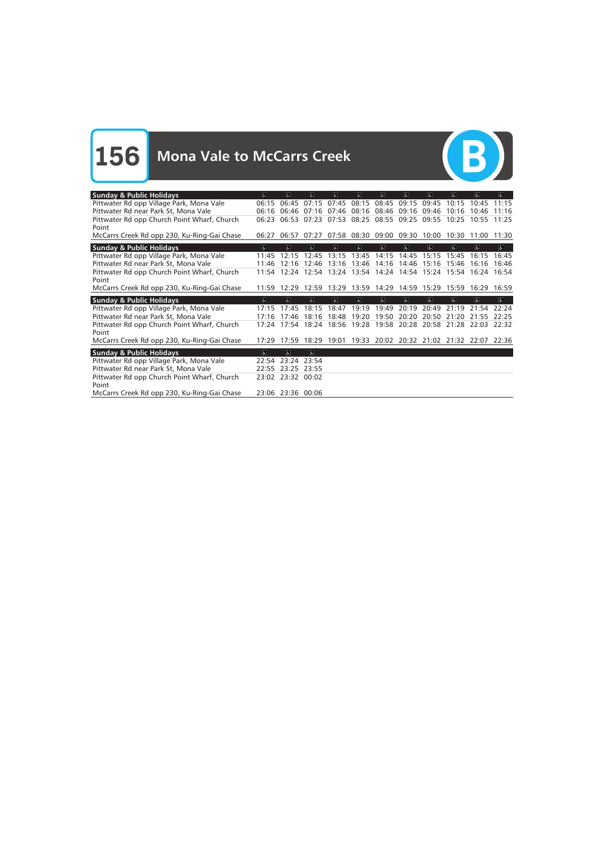

| <b>Sunday &amp; Public Holidays</b>         | $\sigma$            | le.         | $\mathbf{A}$ | $\vert$                       | $\sigma$ | $\sigma$       | $\sigma$                | 高           | <b>A</b>                                        | d                                         | $\vert$      |
|---------------------------------------------|---------------------|-------------|--------------|-------------------------------|----------|----------------|-------------------------|-------------|-------------------------------------------------|-------------------------------------------|--------------|
| Pittwater Rd opp Village Park, Mona Vale    | 06:15               | 06:45       | 07:15        | 07:45                         | 08:15    | 08:45          | 09:15                   | 09:45       | 10:15                                           | 10:45                                     | 11:15        |
| Pittwater Rd near Park St, Mona Vale        | 06:16               | 06:46       | 07:16        | 07:46                         | 08:16    | 08:46          | 09:16                   | 09:46       | 10:16                                           | 10:46                                     | 11:16        |
| Pittwater Rd opp Church Point Wharf, Church | 06:23               | 06:53       | 07:23        | 07:53                         | 08:25    | 08:55          | 09:25                   | 09:55       | 10:25                                           | 10:55                                     | 11:25        |
| Point                                       |                     |             |              |                               |          |                |                         |             |                                                 |                                           |              |
| McCarrs Creek Rd opp 230, Ku-Ring-Gai Chase | 06:27               | 06:57       | 07:27        |                               |          |                | 07:58 08:30 09:00 09:30 | 10:00       | 10:30                                           | 11:00 11:30                               |              |
| <b>Sunday &amp; Public Holidays</b>         | $\overline{\infty}$ | $\sigma$    | lе.          | $\overline{a}$                | $\sigma$ | $\overline{b}$ | $\sigma$                | Ъ.          | lе.                                             | $\sigma$                                  | $\sigma$     |
| Pittwater Rd opp Village Park, Mona Vale    | 11:45               | 12:15       | 12:45        | 13:15                         | 13:45    | 14:15          | 14:45                   |             | 15:15 15:45                                     | 16:15                                     | 16:45        |
| Pittwater Rd near Park St, Mona Vale        | 11:46               | 12:16       | 12:46        | 13:16                         | 13:46    | 14:16          | 14:46                   | 15:16       | 15:46                                           | 16:16                                     | 16:46        |
| Pittwater Rd opp Church Point Wharf, Church | 11:54               |             |              |                               |          |                |                         |             | 12:24 12:54 13:24 13:54 14:24 14:54 15:24 15:54 | 16:24 16:54                               |              |
| Point                                       |                     |             |              |                               |          |                |                         |             |                                                 |                                           |              |
| McCarrs Creek Rd opp 230, Ku-Ring-Gai Chase | 11:59               |             |              | 12:29 12:59 13:29 13:59 14:29 |          |                |                         | 14:59 15:29 | 15:59                                           | 16:29 16:59                               |              |
| <b>Sunday &amp; Public Holidays</b>         | $\sigma$            | $\sigma$    | $\mathbf{r}$ | $\omega$                      | $\sigma$ | $\sigma$       | 6 <sup>1</sup>          | $\sigma$    | le.                                             | E                                         | $\mathbf{F}$ |
| Pittwater Rd opp Village Park, Mona Vale    | 17:15               | 17:45       | 18:15        | 18:47                         | 19:19    | 19:49          | 20:19                   | 20:49       | 21:19                                           | 21:54 22:24                               |              |
| Pittwater Rd near Park St, Mona Vale        | 17:16               | 17:46       | 18:16        | 18:48                         | 19:20    | 19:50          | 20:20                   | 20:50       | 21:20                                           | 21:55                                     | 22:25        |
| Pittwater Rd opp Church Point Wharf, Church | 17:24               | 17:54       | 18:24        | 18:56                         | 19:28    | 19:58          | 20:28                   | 20:58       | 21:28                                           | 22:03                                     | 22:32        |
| Point                                       |                     |             |              |                               |          |                |                         |             |                                                 |                                           |              |
|                                             |                     |             |              |                               |          |                |                         |             |                                                 |                                           |              |
| McCarrs Creek Rd opp 230, Ku-Ring-Gai Chase | 17:29               | 17:59       | 18:29        | 19:01                         |          |                |                         |             |                                                 | 19:33 20:02 20:32 21:02 21:32 22:07 22:36 |              |
|                                             |                     |             |              |                               |          |                |                         |             |                                                 |                                           |              |
| <b>Sunday &amp; Public Holidays</b>         | $\sigma$            | $\sigma$    | $\mathbf{g}$ |                               |          |                |                         |             |                                                 |                                           |              |
| Pittwater Rd opp Village Park, Mona Vale    | 22:54               | 23:24 23:54 |              |                               |          |                |                         |             |                                                 |                                           |              |
| Pittwater Rd near Park St, Mona Vale        | 22:55               | 23:25 23:55 |              |                               |          |                |                         |             |                                                 |                                           |              |
| Pittwater Rd opp Church Point Wharf, Church | 23:02               | 23:32 00:02 |              |                               |          |                |                         |             |                                                 |                                           |              |
| Point                                       |                     |             |              |                               |          |                |                         |             |                                                 |                                           |              |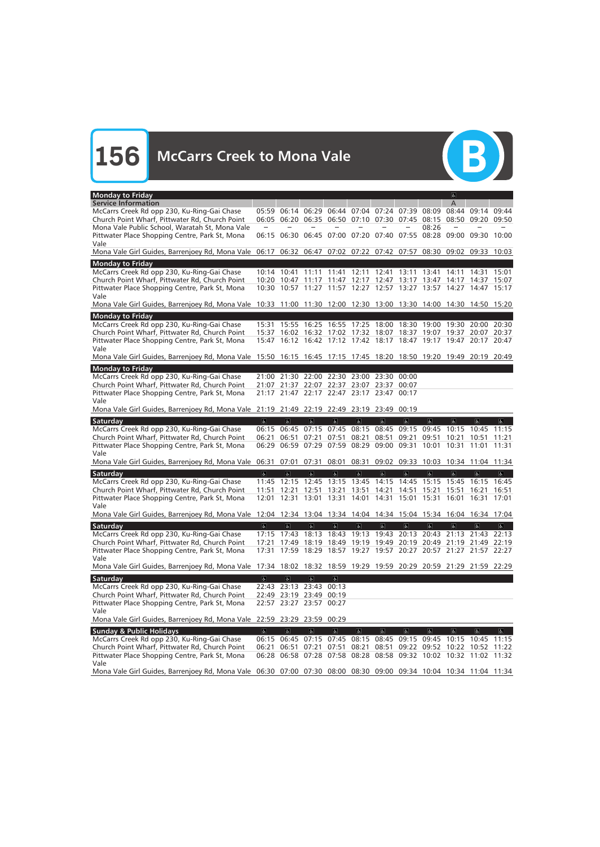

| <b>Monday to Friday</b>                                                                                           |                         |                         |                         |                                    |                                                                   |                |                         |                                     | $ \mathbf{e} $          |                |                          |
|-------------------------------------------------------------------------------------------------------------------|-------------------------|-------------------------|-------------------------|------------------------------------|-------------------------------------------------------------------|----------------|-------------------------|-------------------------------------|-------------------------|----------------|--------------------------|
| <b>Service Information</b>                                                                                        |                         |                         |                         |                                    |                                                                   |                |                         |                                     | А                       |                |                          |
| McCarrs Creek Rd opp 230, Ku-Ring-Gai Chase                                                                       |                         | 05:59 06:14             | 06:29                   |                                    | 06:44 07:04 07:24 07:39                                           |                |                         | 08:09                               | 08:44                   | 09:14          | 09:44                    |
| Church Point Wharf, Pittwater Rd, Church Point                                                                    |                         | 06:05 06:20             |                         |                                    | 06:35 06:50 07:10 07:30 07:45 08:15                               |                |                         |                                     | 08:50                   | 09:20 09:50    |                          |
| Mona Vale Public School, Waratah St, Mona Vale                                                                    |                         |                         |                         |                                    |                                                                   |                |                         | 08:26                               |                         |                |                          |
| Pittwater Place Shopping Centre, Park St, Mona                                                                    |                         |                         |                         |                                    | 06:15 06:30 06:45 07:00 07:20 07:40 07:55 08:28 09:00 09:30 10:00 |                |                         |                                     |                         |                |                          |
| Vale                                                                                                              |                         |                         |                         |                                    |                                                                   |                |                         |                                     |                         |                |                          |
| Mona Vale Girl Guides, Barrenjoey Rd, Mona Vale 06:17 06:32 06:47 07:02 07:22 07:42 07:57 08:30 09:02 09:33 10:03 |                         |                         |                         |                                    |                                                                   |                |                         |                                     |                         |                |                          |
|                                                                                                                   |                         |                         |                         |                                    |                                                                   |                |                         |                                     |                         |                |                          |
| <b>Monday to Friday</b>                                                                                           |                         |                         |                         |                                    |                                                                   |                |                         |                                     |                         |                |                          |
| McCarrs Creek Rd opp 230, Ku-Ring-Gai Chase                                                                       |                         | 10:14 10:41 11:11 11:41 |                         |                                    | 12:11 12:41 13:11 13:41 14:11 14:31 15:01                         |                |                         |                                     |                         |                |                          |
| Church Point Wharf, Pittwater Rd, Church Point                                                                    |                         | 10:20 10:47             |                         | 11:17 11:47                        |                                                                   |                |                         | 12:17 12:47 13:17 13:47 14:17       |                         | 14:37          | 15:07                    |
| Pittwater Place Shopping Centre, Park St, Mona                                                                    |                         |                         |                         |                                    | 10:30 10:57 11:27 11:57 12:27 12:57 13:27 13:57 14:27 14:47 15:17 |                |                         |                                     |                         |                |                          |
| Vale                                                                                                              |                         |                         |                         |                                    |                                                                   |                |                         |                                     |                         |                |                          |
| Mona Vale Girl Guides, Barrenjoey Rd, Mona Vale 10:33 11:00 11:30 12:00 12:30 13:00 13:30 14:00 14:30 14:50 15:20 |                         |                         |                         |                                    |                                                                   |                |                         |                                     |                         |                |                          |
|                                                                                                                   |                         |                         |                         |                                    |                                                                   |                |                         |                                     |                         |                |                          |
| <b>Monday to Friday</b>                                                                                           |                         |                         |                         |                                    |                                                                   |                |                         |                                     |                         |                |                          |
| McCarrs Creek Rd opp 230, Ku-Ring-Gai Chase                                                                       | 15:31                   | 15:55                   | 16:25                   | 16:55                              | 17:25 18:00                                                       |                | 18:30                   | 19:00                               | 19:30                   | 20:00 20:30    |                          |
| Church Point Wharf, Pittwater Rd, Church Point                                                                    |                         |                         |                         |                                    | 15:37 16:02 16:32 17:02 17:32 18:07 18:37 19:07                   |                |                         |                                     | 19:37                   | 20:07          | 20:37                    |
| Pittwater Place Shopping Centre, Park St, Mona                                                                    | 15:47                   |                         |                         |                                    | 16:12 16:42 17:12 17:42 18:17 18:47 19:17 19:47 20:17 20:47       |                |                         |                                     |                         |                |                          |
| Vale                                                                                                              |                         |                         |                         |                                    |                                                                   |                |                         |                                     |                         |                |                          |
| Mona Vale Girl Guides, Barrenjoey Rd, Mona Vale 15:50 16:15 16:45 17:15 17:45 18:20 18:50 19:20 19:49 20:19 20:49 |                         |                         |                         |                                    |                                                                   |                |                         |                                     |                         |                |                          |
| <b>Monday to Friday</b>                                                                                           |                         |                         |                         |                                    |                                                                   |                |                         |                                     |                         |                |                          |
| McCarrs Creek Rd opp 230, Ku-Ring-Gai Chase                                                                       |                         |                         |                         |                                    | 21:00 21:30 22:00 22:30 23:00 23:30 00:00                         |                |                         |                                     |                         |                |                          |
|                                                                                                                   |                         |                         |                         |                                    |                                                                   |                |                         |                                     |                         |                |                          |
| Church Point Wharf, Pittwater Rd, Church Point                                                                    |                         | 21:07 21:37 22:07       |                         |                                    | 22:37 23:07 23:37                                                 |                | 00:07                   |                                     |                         |                |                          |
| Pittwater Place Shopping Centre, Park St, Mona                                                                    |                         |                         |                         |                                    | 21:17 21:47 22:17 22:47 23:17 23:47 00:17                         |                |                         |                                     |                         |                |                          |
| Vale                                                                                                              |                         |                         |                         |                                    |                                                                   |                |                         |                                     |                         |                |                          |
| Mona Vale Girl Guides, Barrenjoey Rd, Mona Vale 21:19 21:49 22:19 22:49 23:19 23:49 00:19                         |                         |                         |                         |                                    |                                                                   |                |                         |                                     |                         |                |                          |
| Saturday                                                                                                          | $\sigma$                | $\overline{\mathbf{c}}$ | $\sigma$                | $\overline{\mathbf{r}}$            | $\overline{6}$                                                    | $\overline{6}$ | $\overline{\mathbf{c}}$ | $\overline{\mathbf{c}}$             | $\overline{\mathbf{r}}$ | $\sigma$       | $\infty$                 |
| McCarrs Creek Rd opp 230, Ku-Ring-Gai Chase                                                                       |                         | 06:15 06:45             |                         | 07:15 07:45                        | 08:15                                                             |                | 08:45 09:15 09:45       |                                     | 10:15                   | 10:45          | 11:15                    |
| Church Point Wharf, Pittwater Rd, Church Point                                                                    | 06:21                   | 06:51                   | 07:21                   | 07:51                              | 08:21                                                             | 08:51          | 09:21                   | 09:51                               | 10:21                   | 10:51          | 11:21                    |
|                                                                                                                   |                         |                         |                         |                                    | 06:29 06:59 07:29 07:59 08:29 09:00 09:31                         |                |                         |                                     |                         |                |                          |
| Pittwater Place Shopping Centre, Park St, Mona                                                                    |                         |                         |                         |                                    |                                                                   |                |                         | 10:01                               | 10:31                   | 11:01          | 11:31                    |
| Vale                                                                                                              |                         |                         |                         |                                    |                                                                   |                |                         |                                     |                         |                |                          |
| Mona Vale Girl Guides, Barrenjoey Rd, Mona Vale 06:31 07:01 07:31                                                 |                         |                         |                         |                                    | 08:01 08:31                                                       |                |                         | 09:02 09:33 10:03 10:34 11:04 11:34 |                         |                |                          |
| Saturday                                                                                                          | $\overline{6}$          | $\overline{a}$          | $\sigma$                | $ \mathbf{P} $                     | $\sigma$                                                          | $\sigma$       | $\sigma$                | $\sigma$                            | $\sigma$                | $\alpha$       | E                        |
| McCarrs Creek Rd opp 230, Ku-Ring-Gai Chase                                                                       |                         | 11:45 12:15 12:45 13:15 |                         |                                    | 13:45 14:15 14:45 15:15 15:45 16:15                               |                |                         |                                     |                         |                | 16:45                    |
| Church Point Wharf, Pittwater Rd, Church Point                                                                    | 11:51                   | 12:21 12:51             |                         | 13:21                              | 13:51                                                             | 14:21          | 14:51                   | 15:21 15:51                         |                         | 16:21          | 16:51                    |
| Pittwater Place Shopping Centre, Park St, Mona                                                                    |                         | 12:01 12:31 13:01 13:31 |                         |                                    |                                                                   |                |                         | 14:01 14:31 15:01 15:31 16:01       |                         | 16:31          | 17:01                    |
| Vale                                                                                                              |                         |                         |                         |                                    |                                                                   |                |                         |                                     |                         |                |                          |
| Mona Vale Girl Guides, Barrenjoey Rd, Mona Vale 12:04 12:34 13:04 13:34 14:04 14:34 15:04 15:34 16:04 16:34       |                         |                         |                         |                                    |                                                                   |                |                         |                                     |                         |                | 17:04                    |
|                                                                                                                   |                         |                         |                         |                                    |                                                                   |                |                         |                                     |                         |                |                          |
| Saturday                                                                                                          | $\mathbf{a}$            | $\alpha$                | $\alpha$                | $\left\vert \mathbf{F}\right\vert$ | a                                                                 | $\mathbf{g}$   | $\mathbf{g}$            | $\sigma$                            | a                       | $\Delta$       | $ \mathbf{P} $           |
| McCarrs Creek Rd opp 230, Ku-Ring-Gai Chase                                                                       |                         | 17:15 17:43             | 18:13                   | 18:43                              |                                                                   | 19:13 19:43    |                         | 20:13 20:43 21:13                   |                         | 21:43 22:13    |                          |
| Church Point Wharf, Pittwater Rd, Church Point                                                                    | 17:21                   |                         |                         |                                    | 17:49 18:19 18:49 19:19 19:49 20:19 20:49 21:19 21:49 22:19       |                |                         |                                     |                         |                |                          |
| Pittwater Place Shopping Centre, Park St, Mona                                                                    | 17:31                   |                         |                         |                                    | 17:59 18:29 18:57 19:27 19:57 20:27 20:57 21:27 21:57 22:27       |                |                         |                                     |                         |                |                          |
| Vale                                                                                                              |                         |                         |                         |                                    |                                                                   |                |                         |                                     |                         |                |                          |
| Mona Vale Girl Guides, Barrenjoey Rd, Mona Vale 17:34 18:02 18:32 18:59 19:29 19:59 20:29 20:59 21:29 21:59 22:29 |                         |                         |                         |                                    |                                                                   |                |                         |                                     |                         |                |                          |
|                                                                                                                   |                         |                         |                         |                                    |                                                                   |                |                         |                                     |                         |                |                          |
| Saturday                                                                                                          | $\overline{\mathbf{c}}$ | $\overline{6}$          | $\overline{\mathbf{e}}$ | $\overline{\mathbf{e}}$            |                                                                   |                |                         |                                     |                         |                |                          |
| McCarrs Creek Rd opp 230, Ku-Ring-Gai Chase                                                                       |                         | 22:43 23:13 23:43       |                         | 00:13                              |                                                                   |                |                         |                                     |                         |                |                          |
| Church Point Wharf, Pittwater Rd, Church Point                                                                    |                         | 22:49 23:19 23:49 00:19 |                         |                                    |                                                                   |                |                         |                                     |                         |                |                          |
| Pittwater Place Shopping Centre, Park St, Mona                                                                    |                         | 22:57 23:27 23:57 00:27 |                         |                                    |                                                                   |                |                         |                                     |                         |                |                          |
| Vale                                                                                                              |                         |                         |                         |                                    |                                                                   |                |                         |                                     |                         |                |                          |
| Mona Vale Girl Guides, Barrenjoey Rd, Mona Vale 22:59 23:29 23:59 00:29                                           |                         |                         |                         |                                    |                                                                   |                |                         |                                     |                         |                |                          |
|                                                                                                                   |                         |                         | $\overline{\mathbf{g}}$ | $\overline{\mathbf{e}}$            |                                                                   |                |                         |                                     |                         |                |                          |
| <b>Sunday &amp; Public Holidays</b>                                                                               | $\overline{6}$          | $\overline{6}$          |                         |                                    | $\overline{6}$                                                    | $\overline{b}$ | $\overline{b}$          | $\overline{6}$                      | $\overline{\mathbf{e}}$ | $\overline{a}$ | $\overline{\mathcal{P}}$ |
| McCarrs Creek Rd opp 230, Ku-Ring-Gai Chase                                                                       |                         |                         |                         |                                    | 06:15 06:45 07:15 07:45 08:15                                     | 08:45          |                         | 09:15 09:45 10:15 10:45 11:15       |                         |                |                          |
| Church Point Wharf, Pittwater Rd, Church Point                                                                    | 06:21                   | 06:51                   | 07:21                   | 07:51                              | 08:21                                                             | 08:51          |                         | 09:22 09:52 10:22 10:52 11:22       |                         |                |                          |
| Pittwater Place Shopping Centre, Park St, Mona                                                                    |                         |                         |                         |                                    | 06:28 06:58 07:28 07:58 08:28 08:58 09:32 10:02 10:32 11:02 11:32 |                |                         |                                     |                         |                |                          |
| Vale                                                                                                              |                         |                         |                         |                                    |                                                                   |                |                         |                                     |                         |                |                          |
| Mona Vale Girl Guides, Barrenjoey Rd, Mona Vale 06:30 07:00 07:30 08:00 08:30 09:00 09:34 10:04 10:34 11:04 11:34 |                         |                         |                         |                                    |                                                                   |                |                         |                                     |                         |                |                          |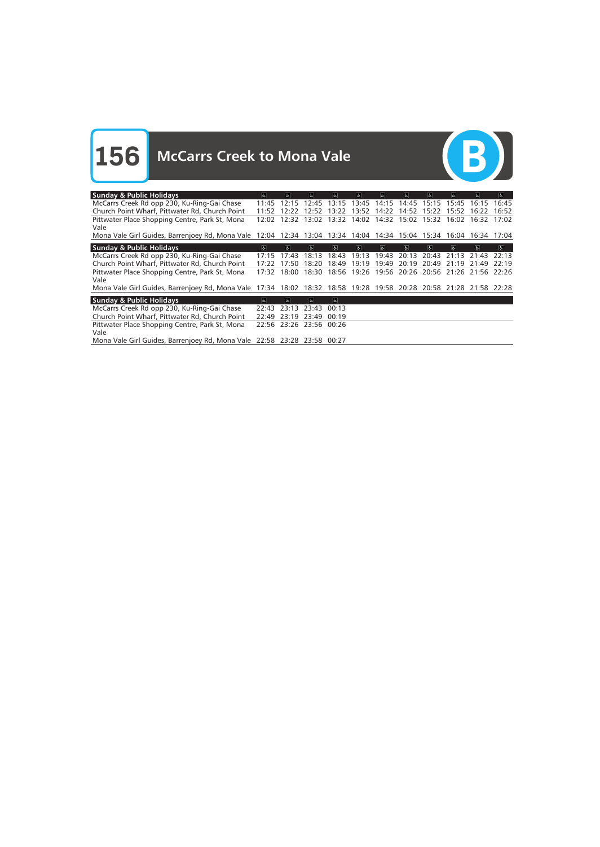**156** McCarrs Creek to Mona Vale



| <b>Sunday &amp; Public Holidays</b>                                                                               | $\sigma$                | le.               | Ġ.              | $\overline{\mathcal{C}}$ | 氐                                                           | $\sigma$    | $\sigma$ | G.          | $ \mathbf{r} $      | &           | $\sigma$ |
|-------------------------------------------------------------------------------------------------------------------|-------------------------|-------------------|-----------------|--------------------------|-------------------------------------------------------------|-------------|----------|-------------|---------------------|-------------|----------|
| McCarrs Creek Rd opp 230, Ku-Ring-Gai Chase                                                                       | 11:45                   |                   | $12:15$ $12:45$ | 13:15                    |                                                             | 13:45 14:15 | 14:45    | 15:15 15:45 |                     | 16:15       | 16:45    |
| Church Point Wharf, Pittwater Rd, Church Point                                                                    | 11:52                   | 12.22             | 12.52           | 13:22                    | 13:52                                                       | 14:22       | 14:52    | 15:22       | 15:52               | 16:22       | 16:52    |
| Pittwater Place Shopping Centre, Park St, Mona                                                                    | 12:02                   |                   |                 |                          | 12:32 13:02 13:32 14:02 14:32 15:02 15:32 16:02 16:32 17:02 |             |          |             |                     |             |          |
| Vale                                                                                                              |                         |                   |                 |                          |                                                             |             |          |             |                     |             |          |
| Mona Vale Girl Guides, Barrenjoey Rd, Mona Vale 12:04 12:34 13:04 13:34 14:04 14:34 15:04 15:34 16:04             |                         |                   |                 |                          |                                                             |             |          |             |                     | 16:34 17:04 |          |
| <b>Sunday &amp; Public Holidays</b>                                                                               | $\overline{\mathbf{c}}$ | $\sigma$          | $\sigma$        | $\overline{\alpha}$      | $\sigma$                                                    | $\sigma$    | $\sigma$ | Ъ.          | $\overline{\infty}$ | le.         | $\infty$ |
| McCarrs Creek Rd opp 230, Ku-Ring-Gai Chase                                                                       | 17.15                   | 17:43             | 18:13           | 18:43                    | 19:13                                                       | 19:43       | 20:13    | 20:43       | 21:13               | 21:43       | 22:13    |
| Church Point Wharf, Pittwater Rd, Church Point                                                                    | 17:22                   | 17.50             | 18:20           | 18:49                    | 19:19                                                       | 19:49       | 20:19    | 20:49       | 21:19               | 21:49       | 22:19    |
| Pittwater Place Shopping Centre, Park St, Mona                                                                    | 17:32                   | 18:00             | 18:30           |                          | 18:56 19:26 19:56 20:26 20:56 21:26 21:56 22:26             |             |          |             |                     |             |          |
| Vale                                                                                                              |                         |                   |                 |                          |                                                             |             |          |             |                     |             |          |
| Mona Vale Girl Guides, Barrenjoey Rd, Mona Vale 17:34 18:02 18:32 18:58 19:28 19:58 20:28 20:58 21:28 21:58 22:28 |                         |                   |                 |                          |                                                             |             |          |             |                     |             |          |
| <b>Sunday &amp; Public Holidays</b>                                                                               | $\sigma$                | $\sigma$          | $\sigma$        | $ \mathbf{f} $           |                                                             |             |          |             |                     |             |          |
| McCarrs Creek Rd opp 230, Ku-Ring-Gai Chase                                                                       | 22:43                   | 23:13             | 23:43           | 00:13                    |                                                             |             |          |             |                     |             |          |
| Church Point Wharf, Pittwater Rd, Church Point                                                                    | 22:49                   | 23:19 23:49       |                 | 00:19                    |                                                             |             |          |             |                     |             |          |
| Pittwater Place Shopping Centre, Park St, Mona                                                                    |                         | 22:56 23:26 23:56 |                 | 00:26                    |                                                             |             |          |             |                     |             |          |
| Vale                                                                                                              |                         |                   |                 |                          |                                                             |             |          |             |                     |             |          |
| Mona Vale Girl Guides, Barrenjoey Rd, Mona Vale 22:58 23:28 23:58 00:27                                           |                         |                   |                 |                          |                                                             |             |          |             |                     |             |          |